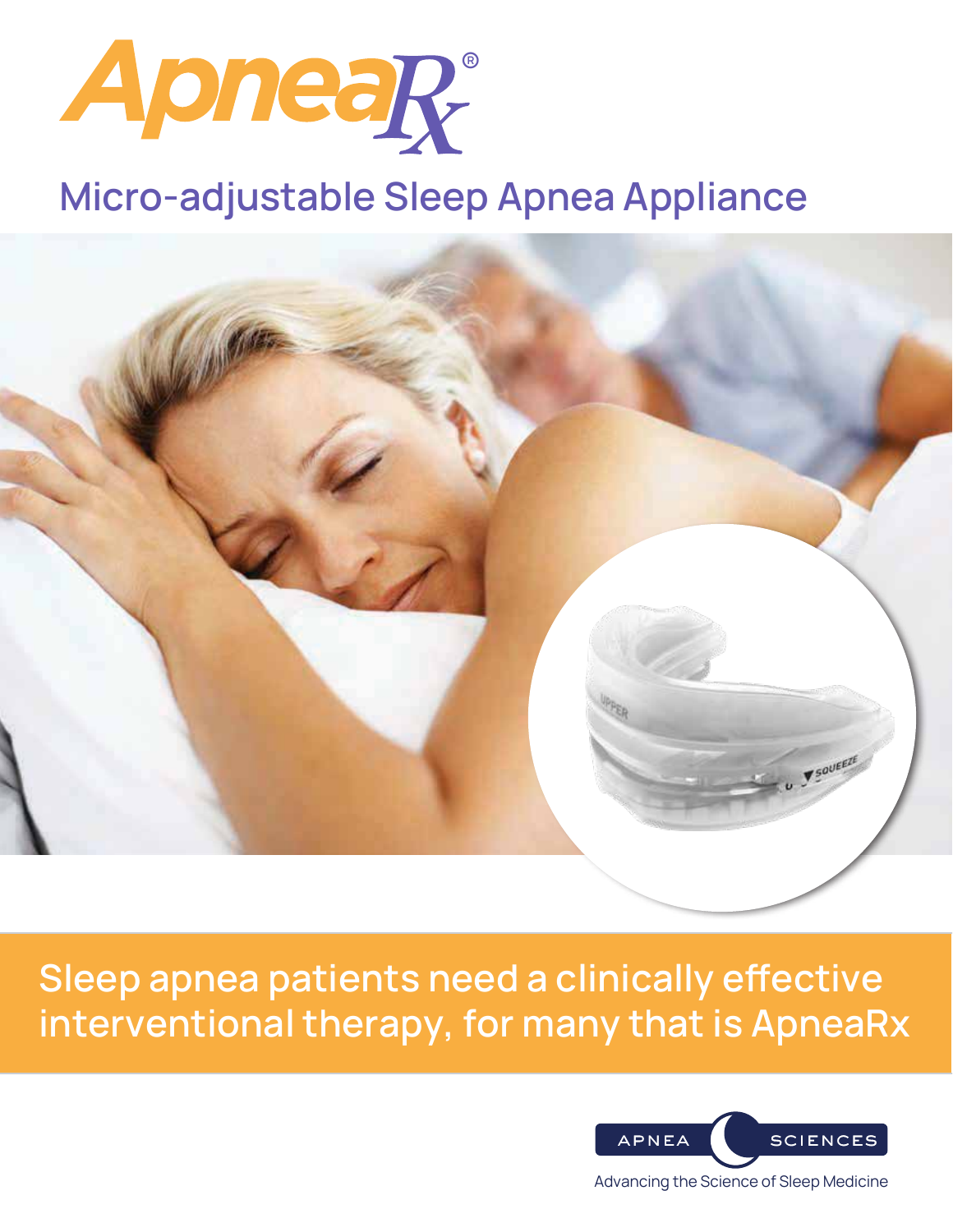

# Micro-adjustable Sleep Apnea Appliance



Sleep apnea patients need a clinically effective interventional therapy, for many that is ApneaRx